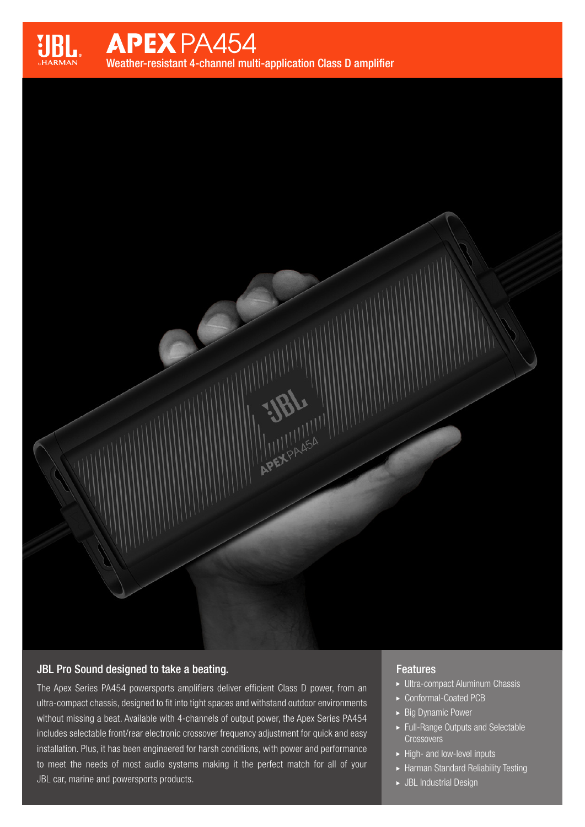

# **APEX PA454**

Weather-resistant 4-channel multi-application Class D amplifier

APEXPASSA

# JBL Pro Sound designed to take a beating.

The Apex Series PA454 powersports amplifiers deliver efficient Class D power, from an ultra-compact chassis, designed to fit into tight spaces and withstand outdoor environments without missing a beat. Available with 4-channels of output power, the Apex Series PA454 includes selectable front/rear electronic crossover frequency adjustment for quick and easy installation. Plus, it has been engineered for harsh conditions, with power and performance to meet the needs of most audio systems making it the perfect match for all of your JBL car, marine and powersports products.

## **Features**

- Ultra-compact Aluminum Chassis
- ▶ Conformal-Coated PCB
- $\triangleright$  Big Dynamic Power
- Full-Range Outputs and Selectable **Crossovers**
- $\blacktriangleright$  High- and low-level inputs
- Harman Standard Reliability Testing
- JBL Industrial Design